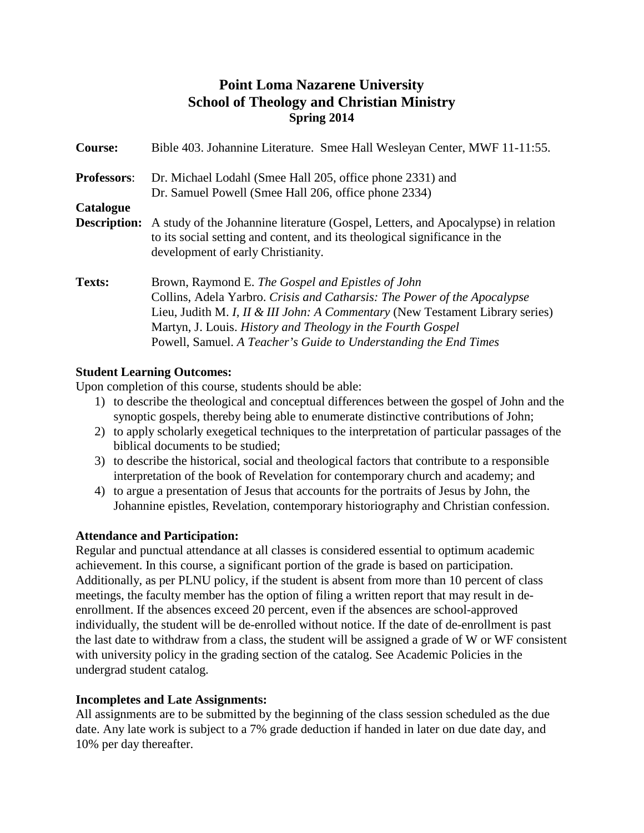# **Point Loma Nazarene University School of Theology and Christian Ministry Spring 2014**

| Course:             | Bible 403. Johannine Literature. Smee Hall Wesleyan Center, MWF 11-11:55.                                                                                                                                                                                                                                                                                    |  |
|---------------------|--------------------------------------------------------------------------------------------------------------------------------------------------------------------------------------------------------------------------------------------------------------------------------------------------------------------------------------------------------------|--|
| <b>Professors:</b>  | Dr. Michael Lodahl (Smee Hall 205, office phone 2331) and<br>Dr. Samuel Powell (Smee Hall 206, office phone 2334)                                                                                                                                                                                                                                            |  |
| Catalogue           |                                                                                                                                                                                                                                                                                                                                                              |  |
| <b>Description:</b> | A study of the Johannine literature (Gospel, Letters, and Apocalypse) in relation<br>to its social setting and content, and its theological significance in the<br>development of early Christianity.                                                                                                                                                        |  |
| <b>Texts:</b>       | Brown, Raymond E. The Gospel and Epistles of John<br>Collins, Adela Yarbro. Crisis and Catharsis: The Power of the Apocalypse<br>Lieu, Judith M. <i>I, II &amp; III John: A Commentary</i> (New Testament Library series)<br>Martyn, J. Louis. History and Theology in the Fourth Gospel<br>Powell, Samuel. A Teacher's Guide to Understanding the End Times |  |

# **Student Learning Outcomes:**

Upon completion of this course, students should be able:

- 1) to describe the theological and conceptual differences between the gospel of John and the synoptic gospels, thereby being able to enumerate distinctive contributions of John;
- 2) to apply scholarly exegetical techniques to the interpretation of particular passages of the biblical documents to be studied;
- 3) to describe the historical, social and theological factors that contribute to a responsible interpretation of the book of Revelation for contemporary church and academy; and
- 4) to argue a presentation of Jesus that accounts for the portraits of Jesus by John, the Johannine epistles, Revelation, contemporary historiography and Christian confession.

# **Attendance and Participation:**

Regular and punctual attendance at all classes is considered essential to optimum academic achievement. In this course, a significant portion of the grade is based on participation. Additionally, as per PLNU policy, if the student is absent from more than 10 percent of class meetings, the faculty member has the option of filing a written report that may result in deenrollment. If the absences exceed 20 percent, even if the absences are school-approved individually, the student will be de-enrolled without notice. If the date of de-enrollment is past the last date to withdraw from a class, the student will be assigned a grade of W or WF consistent with university policy in the grading section of the catalog. See Academic Policies in the undergrad student catalog.

# **Incompletes and Late Assignments:**

All assignments are to be submitted by the beginning of the class session scheduled as the due date. Any late work is subject to a 7% grade deduction if handed in later on due date day, and 10% per day thereafter.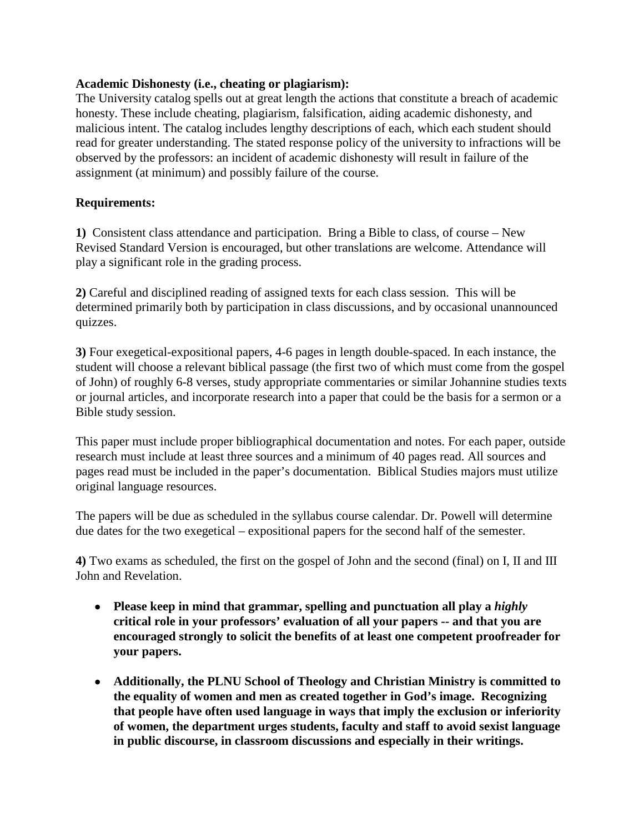### **Academic Dishonesty (i.e., cheating or plagiarism):**

The University catalog spells out at great length the actions that constitute a breach of academic honesty. These include cheating, plagiarism, falsification, aiding academic dishonesty, and malicious intent. The catalog includes lengthy descriptions of each, which each student should read for greater understanding. The stated response policy of the university to infractions will be observed by the professors: an incident of academic dishonesty will result in failure of the assignment (at minimum) and possibly failure of the course.

### **Requirements:**

**1)** Consistent class attendance and participation. Bring a Bible to class, of course – New Revised Standard Version is encouraged, but other translations are welcome. Attendance will play a significant role in the grading process.

**2)** Careful and disciplined reading of assigned texts for each class session. This will be determined primarily both by participation in class discussions, and by occasional unannounced quizzes.

**3)** Four exegetical-expositional papers, 4-6 pages in length double-spaced. In each instance, the student will choose a relevant biblical passage (the first two of which must come from the gospel of John) of roughly 6-8 verses, study appropriate commentaries or similar Johannine studies texts or journal articles, and incorporate research into a paper that could be the basis for a sermon or a Bible study session.

This paper must include proper bibliographical documentation and notes. For each paper, outside research must include at least three sources and a minimum of 40 pages read. All sources and pages read must be included in the paper's documentation. Biblical Studies majors must utilize original language resources.

The papers will be due as scheduled in the syllabus course calendar. Dr. Powell will determine due dates for the two exegetical – expositional papers for the second half of the semester.

**4)** Two exams as scheduled, the first on the gospel of John and the second (final) on I, II and III John and Revelation.

- **Please keep in mind that grammar, spelling and punctuation all play a** *highly*  **critical role in your professors' evaluation of all your papers -- and that you are encouraged strongly to solicit the benefits of at least one competent proofreader for your papers.**
- **Additionally, the PLNU School of Theology and Christian Ministry is committed to the equality of women and men as created together in God's image. Recognizing that people have often used language in ways that imply the exclusion or inferiority of women, the department urges students, faculty and staff to avoid sexist language in public discourse, in classroom discussions and especially in their writings.**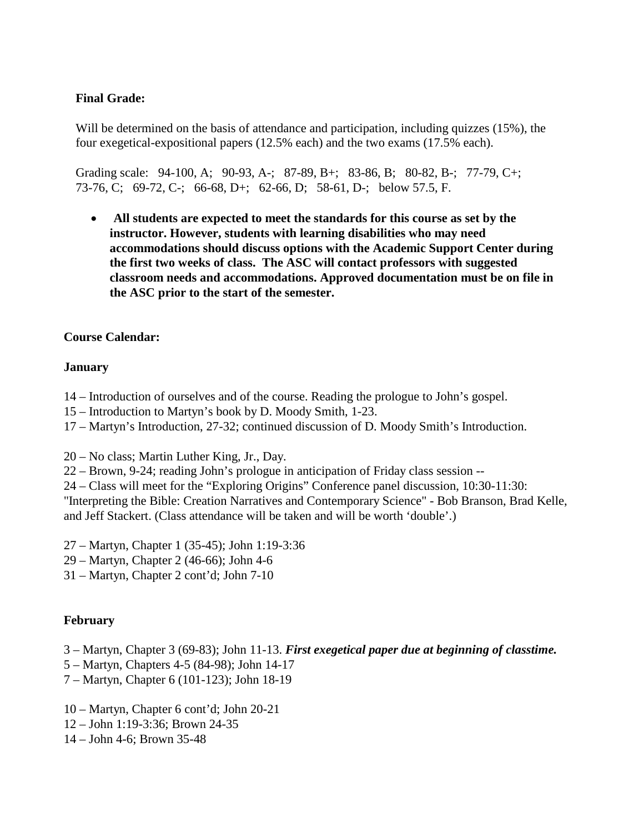# **Final Grade:**

Will be determined on the basis of attendance and participation, including quizzes (15%), the four exegetical-expositional papers (12.5% each) and the two exams (17.5% each).

Grading scale: 94-100, A; 90-93, A-; 87-89, B+; 83-86, B; 80-82, B-; 77-79, C+; 73-76, C; 69-72, C-; 66-68, D+; 62-66, D; 58-61, D-; below 57.5, F.

• **All students are expected to meet the standards for this course as set by the instructor. However, students with learning disabilities who may need accommodations should discuss options with the Academic Support Center during the first two weeks of class. The ASC will contact professors with suggested classroom needs and accommodations. Approved documentation must be on file in the ASC prior to the start of the semester.**

### **Course Calendar:**

#### **January**

- 14 Introduction of ourselves and of the course. Reading the prologue to John's gospel.
- 15 Introduction to Martyn's book by D. Moody Smith, 1-23.
- 17 Martyn's Introduction, 27-32; continued discussion of D. Moody Smith's Introduction.
- 20 No class; Martin Luther King, Jr., Day.
- 22 Brown, 9-24; reading John's prologue in anticipation of Friday class session --
- 24 Class will meet for the "Exploring Origins" Conference panel discussion, 10:30-11:30:

"Interpreting the Bible: Creation Narratives and Contemporary Science" - Bob Branson, Brad Kelle, and Jeff Stackert. (Class attendance will be taken and will be worth 'double'.)

- 27 Martyn, Chapter 1 (35-45); John 1:19-3:36
- 29 Martyn, Chapter 2 (46-66); John 4-6
- 31 Martyn, Chapter 2 cont'd; John 7-10

# **February**

- 3 Martyn, Chapter 3 (69-83); John 11-13. *First exegetical paper due at beginning of classtime.*
- 5 Martyn, Chapters 4-5 (84-98); John 14-17
- 7 Martyn, Chapter 6 (101-123); John 18-19
- 10 Martyn, Chapter 6 cont'd; John 20-21
- 12 John 1:19-3:36; Brown 24-35
- 14 John 4-6; Brown 35-48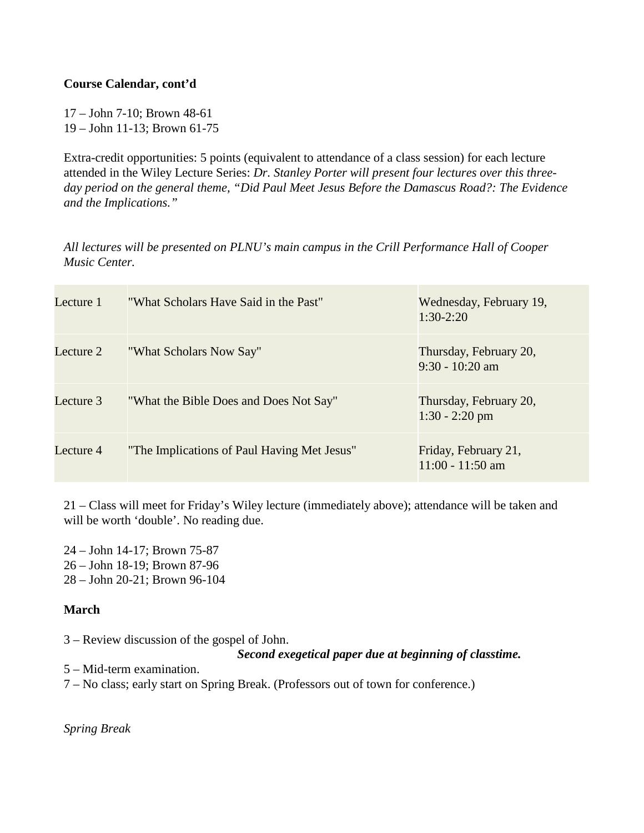### **Course Calendar, cont'd**

17 – John 7-10; Brown 48-61 19 – John 11-13; Brown 61-75

Extra-credit opportunities: 5 points (equivalent to attendance of a class session) for each lecture attended in the Wiley Lecture Series: *Dr. Stanley Porter will present four lectures over this threeday period on the general theme, "Did Paul Meet Jesus Before the Damascus Road?: The Evidence and the Implications."*

*All lectures will be presented on PLNU's main campus in the Crill Performance Hall of Cooper Music Center.* 

| Lecture 1 | "What Scholars Have Said in the Past"       | Wednesday, February 19,<br>$1:30-2:20$      |
|-----------|---------------------------------------------|---------------------------------------------|
| Lecture 2 | "What Scholars Now Say"                     | Thursday, February 20,<br>$9:30 - 10:20$ am |
| Lecture 3 | "What the Bible Does and Does Not Say"      | Thursday, February 20,<br>$1:30 - 2:20$ pm  |
| Lecture 4 | "The Implications of Paul Having Met Jesus" | Friday, February 21,<br>$11:00 - 11:50$ am  |

21 – Class will meet for Friday's Wiley lecture (immediately above); attendance will be taken and will be worth 'double'. No reading due.

24 – John 14-17; Brown 75-87 26 – John 18-19; Brown 87-96 28 – John 20-21; Brown 96-104

# **March**

3 – Review discussion of the gospel of John.

*Second exegetical paper due at beginning of classtime.*

5 – Mid-term examination.

7 – No class; early start on Spring Break. (Professors out of town for conference.)

*Spring Break*